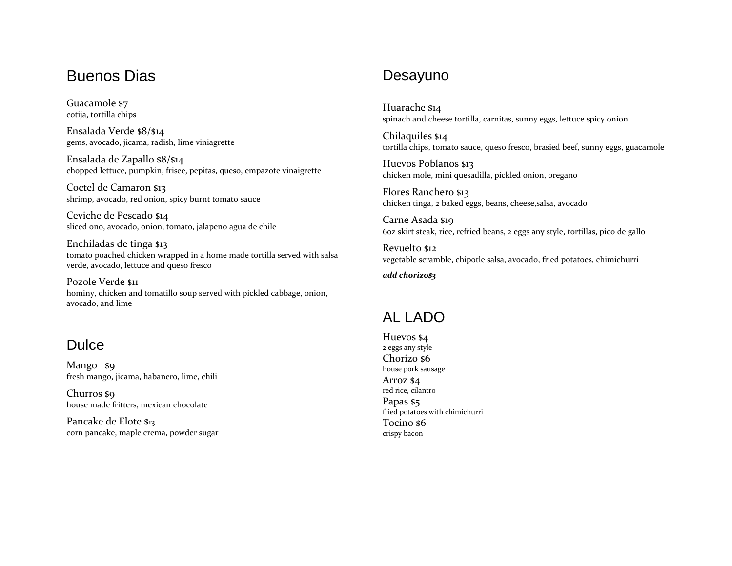#### Buenos Dias

Guacamole \$7 cotija, tortilla chips

Ensalada Verde \$8/\$14 gems, avocado, jicama, radish, lime viniagrette

Ensalada de Zapallo \$8/\$14 chopped lettuce, pumpkin, frisee, pepitas, queso, empazote vinaigrette

Coctel de Camaron \$13 shrimp, avocado, red onion, spicy burnt tomato sauce

Ceviche de Pescado \$14 sliced ono, avocado, onion, tomato, jalapeno agua de chile

Enchiladas de tinga \$13 tomato poached chicken wrapped in a home made tortilla served with salsa verde, avocado, lettuce and queso fresco

Pozole Verde \$11 hominy, chicken and tomatillo soup served with pickled cabbage, onion, avocado, and lime

### **Dulce**

Mango \$9 fresh mango, jicama, habanero, lime, chili

Churros \$9 house made fritters, mexican chocolate

Pancake de Elote \$13 corn pancake, maple crema, powder sugar

## Desayuno

Huarache \$14 spinach and cheese tortilla, carnitas, sunny eggs, lettuce spicy onion

Chilaquiles \$14 tortilla chips, tomato sauce, queso fresco, brasied beef, sunny eggs, guacamole

Huevos Poblanos \$13 chicken mole, mini quesadilla, pickled onion, oregano

Flores Ranchero \$13 chicken tinga, 2 baked eggs, beans, cheese,salsa, avocado

Carne Asada \$19 6oz skirt steak, rice, refried beans, 2 eggs any style, tortillas, pico de gallo

Revuelto \$12 vegetable scramble, chipotle salsa, avocado, fried potatoes, chimichurri

*add chorizo\$3*

### AL LADO

Huevos \$4 2 eggs any style Chorizo \$6 house pork sausage Arroz \$4 red rice, cilantro Papas \$5 fried potatoes with chimichurri Tocino \$6 crispy bacon